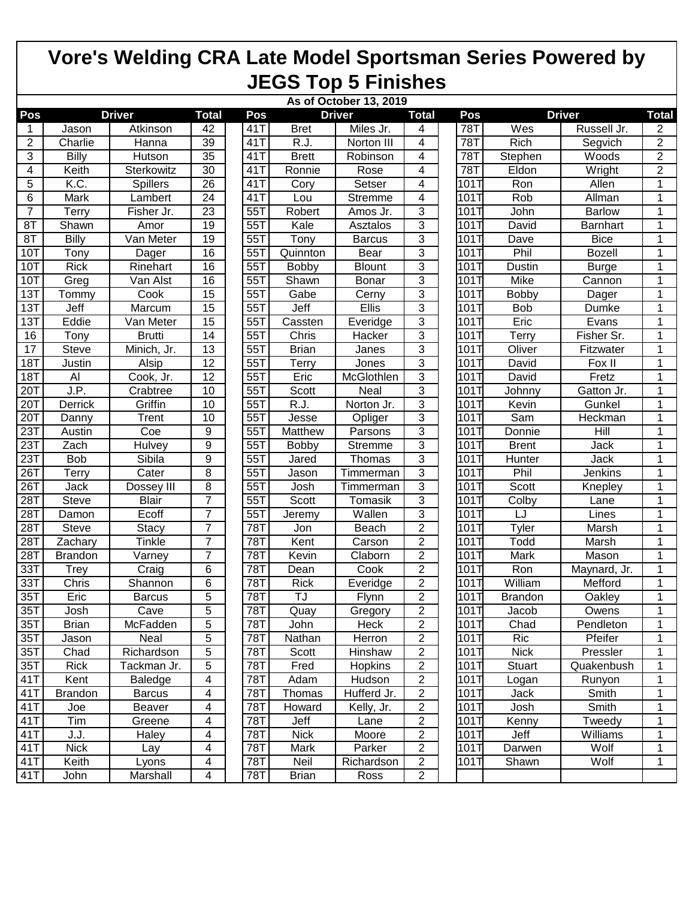## **Vore's Welding CRA Late Model Sportsman Series Powered by JEGS Top 5 Finishes**

|                  | As of October 13, 2019 |               |                 |     |                      |               |                |  |            |                |                 |                |
|------------------|------------------------|---------------|-----------------|-----|----------------------|---------------|----------------|--|------------|----------------|-----------------|----------------|
| Pos              | <b>Driver</b>          |               | <b>Total</b>    |     | <b>Driver</b><br>Pos |               | <b>Total</b>   |  | Pos        | <b>Driver</b>  |                 | <b>Total</b>   |
| 1                | Jason                  | Atkinson      | 42              | 41T | <b>Bret</b>          | Miles Jr.     | 4              |  | 78T        | Wes            | Russell Jr.     | $\overline{2}$ |
| $\overline{c}$   | Charlie                | Hanna         | 39              | 41T | R.J.                 | Norton III    | $\overline{4}$ |  | 78T        | Rich           | Segvich         | $\overline{2}$ |
| 3                | Billy                  | Hutson        | 35              | 41T | <b>Brett</b>         | Robinson      | 4              |  | <b>78T</b> | Stephen        | Woods           | $\overline{2}$ |
| 4                | Keith                  | Sterkowitz    | 30              | 41T | Ronnie               | Rose          | 4              |  | 78T        | Eldon          | Wright          | $\overline{2}$ |
| 5                | K.C.                   | Spillers      | 26              | 41T | Cory                 | Setser        | $\overline{4}$ |  | 101T       | Ron            | Allen           | $\mathbf{1}$   |
| 6                | Mark                   | Lambert       | 24              | 41T | Lou                  | Stremme       | 4              |  | 101T       | Rob            | Allman          | 1              |
| $\overline{7}$   | Terry                  | Fisher Jr.    | $\overline{23}$ | 55T | Robert               | Amos Jr.      | $\overline{3}$ |  | 101T       | John           | <b>Barlow</b>   | 1              |
| 8T               | Shawn                  | Amor          | 19              | 55T | Kale                 | Asztalos      | 3              |  | 101T       | David          | <b>Barnhart</b> | 1              |
| 8T               | <b>Billy</b>           | Van Meter     | 19              | 55T | Tony                 | <b>Barcus</b> | 3              |  | 101T       | Dave           | <b>Bice</b>     | 1              |
| 10T              | Tony                   | Dager         | 16              | 55T | Quinnton             | Bear          | 3              |  | 101T       | Phil           | <b>Bozell</b>   | 1              |
| 10T              | <b>Rick</b>            | Rinehart      | 16              | 55T | <b>Bobby</b>         | Blount        | 3              |  | 101T       | Dustin         | <b>Burge</b>    | 1              |
| 10T              | Greg                   | Van Alst      | 16              | 55T | Shawn                | Bonar         | 3              |  | 101T       | Mike           | Cannon          | 1              |
| 13T              | Tommy                  | Cook          | $\overline{15}$ | 55T | Gabe                 | Cerny         | $\overline{3}$ |  | 101T       | Bobby          | <b>Dager</b>    | $\mathbf{1}$   |
| 13T              | Jeff                   | Marcum        | 15              | 55T | Jeff                 | Ellis         | 3              |  | 101T       | Bob            | Dumke           | 1              |
| 13T              | Eddie                  | Van Meter     | $\overline{15}$ | 55T | Cassten              | Everidge      | 3              |  | 101T       | Eric           | Evans           | 1              |
| 16               | Tony                   | <b>Brutti</b> | 14              | 55T | Chris                | Hacker        | 3              |  | 101T       | Terry          | Fisher Sr.      | 1              |
| 17               | Steve                  | Minich, Jr.   | 13              | 55T | <b>Brian</b>         | Janes         | 3              |  | 101T       | Oliver         | Fitzwater       | 1              |
| 18T              | Justin                 | Alsip         | 12              | 55T | Terry                | Jones         | 3              |  | 101T       | David          | Fox II          | 1              |
| 18T              | $\overline{Al}$        | Cook, Jr.     | $\overline{12}$ | 55T | Eric                 | McGlothlen    | $\overline{3}$ |  | 101T       | David          | Fretz           | 1              |
| 20T              | J.P.                   | Crabtree      | 10              | 55T | Scott                | Neal          | 3              |  | 101T       | Johnny         | Gatton Jr.      | 1              |
| 20T              | Derrick                | Griffin       | 10              | 55T | R.J.                 | Norton Jr.    | $\overline{3}$ |  | 101T       | Kevin          | Gunkel          | 1              |
| 20T              | Danny                  | Trent         | 10              | 55T | Jesse                | Opliger       | 3              |  | 101T       | Sam            | Heckman         | 1              |
| 23T              | Austin                 | Coe           | 9               | 55T | Matthew              | Parsons       | $\overline{3}$ |  | 101T       | Donnie         | Hill            | 1              |
| 23T              | Zach                   | Hulvey        | 9               | 55T | Bobby                | Stremme       | $\overline{3}$ |  | 101T       | <b>Brent</b>   | Jack            | 1              |
| 23T              | <b>Bob</b>             | Sibila        | 9               | 55T | Jared                | Thomas        | $\overline{3}$ |  | 101T       | <b>Hunter</b>  | Jack            | 1              |
| 26T              | Terry                  | Cater         | 8               | 55T | Jason                | Timmerman     | 3              |  | 101T       | Phil           | Jenkins         | 1              |
| 26T              | Jack                   | Dossey III    | 8               | 55T | Josh                 | Timmerman     | 3              |  | 101T       | Scott          | Knepley         | 1              |
| 28T              | <b>Steve</b>           | <b>Blair</b>  | 7               | 55T | Scott                | Tomasik       | 3              |  | 101T       | Colby          | Lane            | 1              |
| 28T              | Damon                  | Ecoff         | 7               | 55T | Jeremy               | Wallen        | 3              |  | 101T       | LJ             | Lines           | 1              |
| 28T              | <b>Steve</b>           | <b>Stacy</b>  | 7               | 78T | Jon                  | Beach         | $\overline{2}$ |  | 101T       | Tyler          | Marsh           | 1              |
| 28T              | Zachary                | Tinkle        | 7               | 78T | Kent                 | Carson        | $\overline{c}$ |  | 101T       | Todd           | Marsh           | 1              |
| 28T              | <b>Brandon</b>         | Varney        | 7               | 78T | Kevin                | Claborn       | $\overline{2}$ |  | 101T       | Mark           | Mason           | 1              |
| 33T              | Trey                   | Craig         | 6               | 78T | Dean                 | Cook          | $\overline{2}$ |  | 101T       | Ron            | Maynard, Jr.    | 1              |
| 33T              | Chris                  | Shannon       | 6               | 78T | <b>Rick</b>          | Everidge      | $\overline{2}$ |  | 101T       | William        | Mefford         | 1              |
| 35T              | Eric                   | <b>Barcus</b> | 5               | 78T | TJ                   | Flynn         | $\overline{2}$ |  | 101T       | <b>Brandon</b> | Oakley          | 1              |
| 35T              | Josh                   | Cave          | 5               | 78T | Quay                 | Gregory       | 2              |  | 101T       | Jacob          | Owens           | 1              |
| 35T              | <b>Brian</b>           | McFadden      | 5               | 78T | John                 | Heck          | $\overline{2}$ |  | 101T       | Chad           | Pendleton       | 1              |
| 35T              | Jason                  | Neal          | 5               | 78T | Nathan               | Herron        | $\overline{c}$ |  | 101T       | Ric            | Pfeifer         | 1              |
| 35T              | Chad                   | Richardson    | 5               | 78T | Scott                | Hinshaw       | $\overline{c}$ |  | 101T       | <b>Nick</b>    | Pressler        | 1              |
| 35T              | <b>Rick</b>            | Tackman Jr.   | 5               | 78T | Fred                 | Hopkins       | $\overline{c}$ |  | 101T       | <b>Stuart</b>  | Quakenbush      | 1              |
| 41T              | Kent                   | Baledge       | 4               | 78T | Adam                 | Hudson        | $\overline{c}$ |  | 101T       | Logan          | Runyon          | 1              |
| 41T              | <b>Brandon</b>         | <b>Barcus</b> | 4               | 78T | Thomas               | Hufferd Jr.   | $\overline{c}$ |  | 101T       | Jack           | Smith           | 1              |
| 41T              | Joe                    | Beaver        | 4               | 78T | Howard               | Kelly, Jr.    | $\overline{2}$ |  | 101T       | Josh           | Smith           | 1              |
| $41\overline{T}$ | Tim                    | Greene        | 4               | 78T | Jeff                 | Lane          | $\overline{2}$ |  | 101T       | Kenny          | Tweedy          | 1              |
| 41T              | J.J.                   | Haley         | 4               | 78T | <b>Nick</b>          | Moore         | $\overline{c}$ |  | 101T       | Jeff           | Williams        | 1              |
| 41T              | <b>Nick</b>            | Lay           | 4               | 78T | Mark                 | Parker        | $\overline{2}$ |  | 101T       | Darwen         | Wolf            | 1              |
| 41T              | Keith                  | Lyons         | 4               | 78T | Neil                 | Richardson    | $\overline{c}$ |  | 101T       | Shawn          | Wolf            | 1              |
| 41T              | John                   | Marshall      | 4               | 78T | <b>Brian</b>         | Ross          | $\overline{2}$ |  |            |                |                 |                |